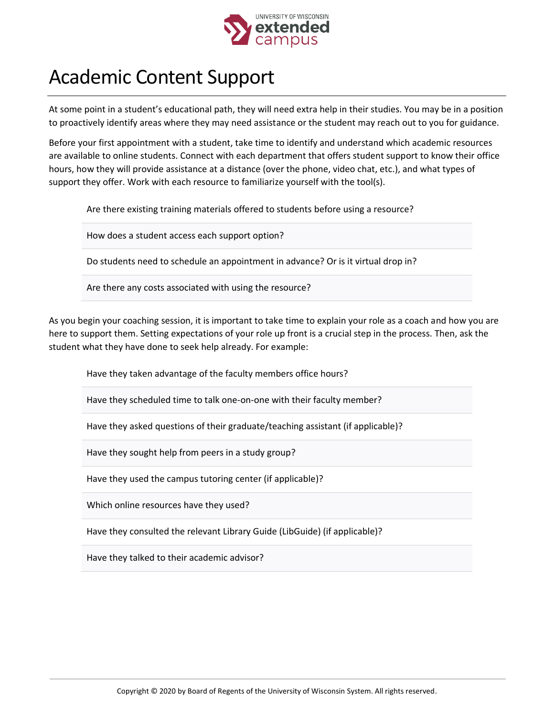

## Academic Content Support

At some point in a student's educational path, they will need extra help in their studies. You may be in a position to proactively identify areas where they may need assistance or the student may reach out to you for guidance.

Before your first appointment with a student, take time to identify and understand which academic resources are available to online students. Connect with each department that offers student support to know their office hours, how they will provide assistance at a distance (over the phone, video chat, etc.), and what types of support they offer. Work with each resource to familiarize yourself with the tool(s).

Are there existing training materials offered to students before using a resource?

How does a student access each support option?

Do students need to schedule an appointment in advance? Or is it virtual drop in?

Are there any costs associated with using the resource?

As you begin your coaching session, it is important to take time to explain your role as a coach and how you are here to support them. Setting expectations of your role up front is a crucial step in the process. Then, ask the student what they have done to seek help already. For example:

Have they taken advantage of the faculty members office hours?

Have they scheduled time to talk one-on-one with their faculty member?

Have they asked questions of their graduate/teaching assistant (if applicable)?

Have they sought help from peers in a study group?

Have they used the campus tutoring center (if applicable)?

Which online resources have they used?

Have they consulted the relevant Library Guide (LibGuide) (if applicable)?

Have they talked to their academic advisor?